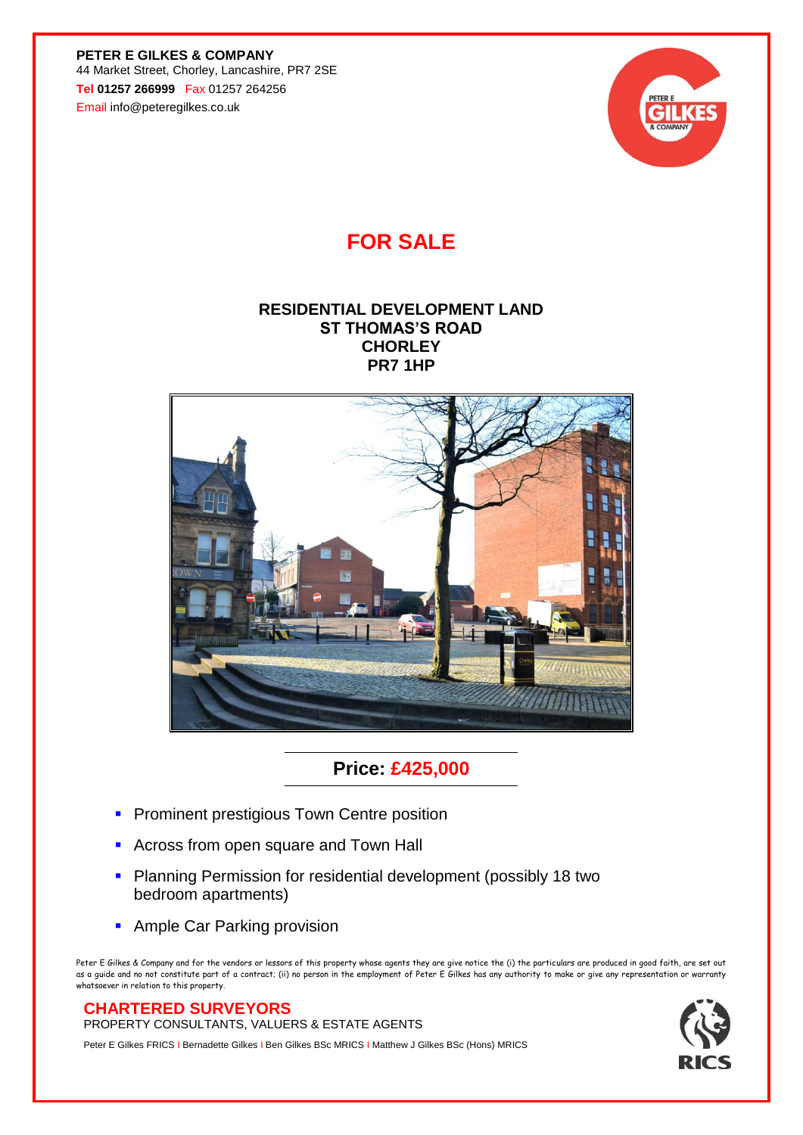**PETER E GILKES & COMPANY** 44 Market Street, Chorley, Lancashire, PR7 2SE **Tel 01257 266999** Fax 01257 264256 Email info@peteregilkes.co.uk



## **FOR SALE**

## **RESIDENTIAL DEVELOPMENT LAND ST THOMAS'S ROAD CHORLEY PR7 1HP**



**Price: £425,000**

- **Prominent prestigious Town Centre position**
- **EXPLOSE SHOW ACROSE FROM A FIGURE 2015**
- **Planning Permission for residential development (possibly 18 two** bedroom apartments)
- **Ample Car Parking provision**

Peter E Gilkes & Company and for the vendors or lessors of this property whose agents they are give notice the (i) the particulars are produced in good faith, are set out as a guide and no not constitute part of a contract; (ii) no person in the employment of Peter E Gilkes has any authority to make or give any representation or war whatsoever in relation to this property.

## **CHARTERED SURVEYORS**

PROPERTY CONSULTANTS, VALUERS & ESTATE AGENTS

Peter E Gilkes FRICS I Bernadette Gilkes I Ben Gilkes BSc MRICS I Matthew J Gilkes BSc (Hons) MRICS